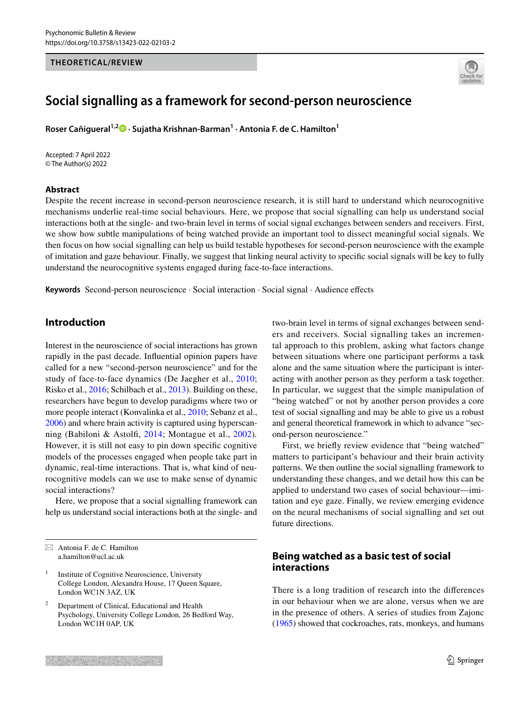#### **THEORETICAL/REVIEW**



# **Social signalling as a framework for second‑person neuroscience**

**Roser Cañigueral1,2 · Sujatha Krishnan‑Barman1 · Antonia F. de C. Hamilton1**

Accepted: 7 April 2022 © The Author(s) 2022

#### **Abstract**

Despite the recent increase in second-person neuroscience research, it is still hard to understand which neurocognitive mechanisms underlie real-time social behaviours. Here, we propose that social signalling can help us understand social interactions both at the single- and two-brain level in terms of social signal exchanges between senders and receivers. First, we show how subtle manipulations of being watched provide an important tool to dissect meaningful social signals. We then focus on how social signalling can help us build testable hypotheses for second-person neuroscience with the example of imitation and gaze behaviour. Finally, we suggest that linking neural activity to specifc social signals will be key to fully understand the neurocognitive systems engaged during face-to-face interactions.

**Keywords** Second-person neuroscience · Social interaction · Social signal · Audience efects

## **Introduction**

Interest in the neuroscience of social interactions has grown rapidly in the past decade. Infuential opinion papers have called for a new "second-person neuroscience" and for the study of face-to-face dynamics (De Jaegher et al., [2010](#page-9-0); Risko et al., [2016;](#page-11-0) Schilbach et al., [2013](#page-11-1)). Building on these, researchers have begun to develop paradigms where two or more people interact (Konvalinka et al., [2010](#page-10-0); Sebanz et al., [2006](#page-11-2)) and where brain activity is captured using hyperscanning (Babiloni & Astolf, [2014;](#page-8-0) Montague et al., [2002](#page-10-1))*.* However, it is still not easy to pin down specifc cognitive models of the processes engaged when people take part in dynamic, real-time interactions. That is, what kind of neurocognitive models can we use to make sense of dynamic social interactions?

Here, we propose that a social signalling framework can help us understand social interactions both at the single- and two-brain level in terms of signal exchanges between senders and receivers. Social signalling takes an incremental approach to this problem, asking what factors change between situations where one participant performs a task alone and the same situation where the participant is interacting with another person as they perform a task together. In particular, we suggest that the simple manipulation of "being watched" or not by another person provides a core test of social signalling and may be able to give us a robust and general theoretical framework in which to advance "second-person neuroscience."

First, we briefy review evidence that "being watched" matters to participant's behaviour and their brain activity patterns. We then outline the social signalling framework to understanding these changes, and we detail how this can be applied to understand two cases of social behaviour—imitation and eye gaze. Finally, we review emerging evidence on the neural mechanisms of social signalling and set out future directions.

## **Being watched as a basic test of social interactions**

There is a long tradition of research into the diferences in our behaviour when we are alone, versus when we are in the presence of others. A series of studies from Zajonc [\(1965](#page-12-0)) showed that cockroaches, rats, monkeys, and humans

 $\boxtimes$  Antonia F. de C. Hamilton a.hamilton@ucl.ac.uk

 $<sup>1</sup>$  Institute of Cognitive Neuroscience, University</sup> College London, Alexandra House, 17 Queen Square, London WC1N 3AZ, UK

<sup>2</sup> Department of Clinical, Educational and Health Psychology, University College London, 26 Bedford Way, London WC1H 0AP, UK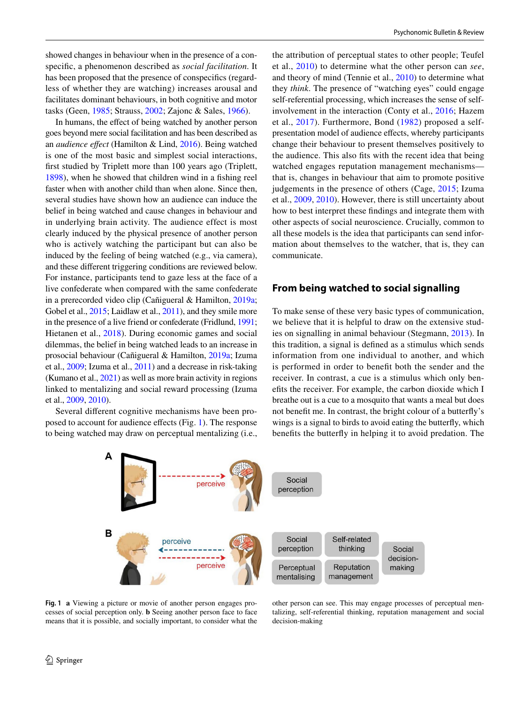showed changes in behaviour when in the presence of a conspecifc, a phenomenon described as *social facilitation*. It has been proposed that the presence of conspecifcs (regardless of whether they are watching) increases arousal and facilitates dominant behaviours, in both cognitive and motor tasks (Geen, [1985;](#page-9-1) Strauss, [2002](#page-11-3); Zajonc & Sales, [1966\)](#page-12-1).

In humans, the effect of being watched by another person goes beyond mere social facilitation and has been described as an *audience efect* (Hamilton & Lind, [2016](#page-9-2)). Being watched is one of the most basic and simplest social interactions, frst studied by Triplett more than 100 years ago (Triplett, [1898](#page-11-4)), when he showed that children wind in a fshing reel faster when with another child than when alone. Since then, several studies have shown how an audience can induce the belief in being watched and cause changes in behaviour and in underlying brain activity. The audience effect is most clearly induced by the physical presence of another person who is actively watching the participant but can also be induced by the feeling of being watched (e.g., via camera), and these diferent triggering conditions are reviewed below. For instance, participants tend to gaze less at the face of a live confederate when compared with the same confederate in a prerecorded video clip (Cañigueral & Hamilton, [2019a](#page-8-1); Gobel et al., [2015](#page-9-3); Laidlaw et al., [2011](#page-10-2)), and they smile more in the presence of a live friend or confederate (Fridlund, [1991](#page-9-4); Hietanen et al., [2018](#page-9-5)). During economic games and social dilemmas, the belief in being watched leads to an increase in prosocial behaviour (Cañigueral & Hamilton, [2019a;](#page-8-1) Izuma et al., [2009;](#page-10-3) Izuma et al., [2011\)](#page-10-4) and a decrease in risk-taking (Kumano et al., [2021\)](#page-10-5) as well as more brain activity in regions linked to mentalizing and social reward processing (Izuma et al., [2009,](#page-10-3) [2010](#page-10-6)).

Several diferent cognitive mechanisms have been proposed to account for audience efects (Fig. [1\)](#page-1-0). The response to being watched may draw on perceptual mentalizing (i.e., the attribution of perceptual states to other people; Teufel et al., [2010\)](#page-11-5) to determine what the other person can *see*, and theory of mind (Tennie et al., [2010](#page-11-6)) to determine what they *think*. The presence of "watching eyes" could engage self-referential processing, which increases the sense of selfinvolvement in the interaction (Conty et al., [2016;](#page-9-6) Hazem et al., [2017](#page-9-7)). Furthermore, Bond ([1982](#page-8-2)) proposed a selfpresentation model of audience efects, whereby participants change their behaviour to present themselves positively to the audience. This also fts with the recent idea that being watched engages reputation management mechanisms that is, changes in behaviour that aim to promote positive judgements in the presence of others (Cage, [2015;](#page-8-3) Izuma et al., [2009,](#page-10-3) [2010\)](#page-10-6). However, there is still uncertainty about how to best interpret these fndings and integrate them with other aspects of social neuroscience. Crucially, common to all these models is the idea that participants can send information about themselves to the watcher, that is, they can communicate.

#### **From being watched to social signalling**

To make sense of these very basic types of communication, we believe that it is helpful to draw on the extensive studies on signalling in animal behaviour (Stegmann, [2013](#page-11-7)). In this tradition, a signal is defned as a stimulus which sends information from one individual to another, and which is performed in order to beneft both the sender and the receiver. In contrast, a cue is a stimulus which only benefts the receiver. For example, the carbon dioxide which I breathe out is a cue to a mosquito that wants a meal but does not beneft me. In contrast, the bright colour of a butterfy's wings is a signal to birds to avoid eating the butterfy, which benefts the butterfy in helping it to avoid predation. The



<span id="page-1-0"></span>**Fig. 1 a** Viewing a picture or movie of another person engages processes of social perception only. **b** Seeing another person face to face means that it is possible, and socially important, to consider what the

other person can see. This may engage processes of perceptual mentalizing, self-referential thinking, reputation management and social decision-making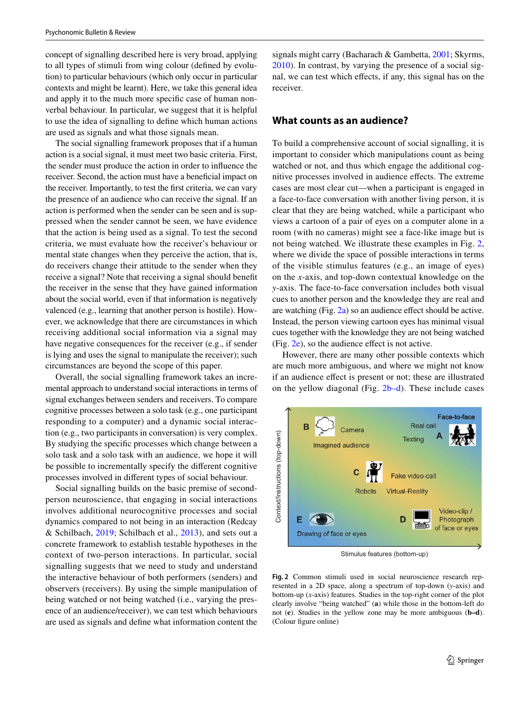concept of signalling described here is very broad, applying to all types of stimuli from wing colour (defned by evolution) to particular behaviours (which only occur in particular contexts and might be learnt). Here, we take this general idea and apply it to the much more specifc case of human nonverbal behaviour. In particular, we suggest that it is helpful to use the idea of signalling to defne which human actions are used as signals and what those signals mean.

The social signalling framework proposes that if a human action is a social signal, it must meet two basic criteria. First, the sender must produce the action in order to infuence the receiver. Second, the action must have a benefcial impact on the receiver. Importantly, to test the frst criteria, we can vary the presence of an audience who can receive the signal. If an action is performed when the sender can be seen and is suppressed when the sender cannot be seen, we have evidence that the action is being used as a signal. To test the second criteria, we must evaluate how the receiver's behaviour or mental state changes when they perceive the action, that is, do receivers change their attitude to the sender when they receive a signal? Note that receiving a signal should beneft the receiver in the sense that they have gained information about the social world, even if that information is negatively valenced (e.g., learning that another person is hostile). However, we acknowledge that there are circumstances in which receiving additional social information via a signal may have negative consequences for the receiver (e.g., if sender is lying and uses the signal to manipulate the receiver); such circumstances are beyond the scope of this paper.

Overall, the social signalling framework takes an incremental approach to understand social interactions in terms of signal exchanges between senders and receivers. To compare cognitive processes between a solo task (e.g., one participant responding to a computer) and a dynamic social interaction (e.g., two participants in conversation) is very complex. By studying the specifc processes which change between a solo task and a solo task with an audience, we hope it will be possible to incrementally specify the diferent cognitive processes involved in diferent types of social behaviour.

Social signalling builds on the basic premise of secondperson neuroscience, that engaging in social interactions involves additional neurocognitive processes and social dynamics compared to not being in an interaction (Redcay & Schilbach, [2019](#page-11-8); Schilbach et al., [2013\)](#page-11-1), and sets out a concrete framework to establish testable hypotheses in the context of two-person interactions. In particular, social signalling suggests that we need to study and understand the interactive behaviour of both performers (senders) and observers (receivers). By using the simple manipulation of being watched or not being watched (i.e., varying the presence of an audience/receiver), we can test which behaviours are used as signals and defne what information content the signals might carry (Bacharach & Gambetta, [2001](#page-8-4); Skyrms, [2010](#page-11-9)). In contrast, by varying the presence of a social signal, we can test which effects, if any, this signal has on the receiver.

## **What counts as an audience?**

To build a comprehensive account of social signalling, it is important to consider which manipulations count as being watched or not, and thus which engage the additional cognitive processes involved in audience efects. The extreme cases are most clear cut—when a participant is engaged in a face-to-face conversation with another living person, it is clear that they are being watched, while a participant who views a cartoon of a pair of eyes on a computer alone in a room (with no cameras) might see a face-like image but is not being watched. We illustrate these examples in Fig. [2,](#page-2-0) where we divide the space of possible interactions in terms of the visible stimulus features (e.g., an image of eyes) on the *x*-axis, and top-down contextual knowledge on the *y*-axis. The face-to-face conversation includes both visual cues to another person and the knowledge they are real and are watching (Fig. [2a\)](#page-2-0) so an audience efect should be active. Instead, the person viewing cartoon eyes has minimal visual cues together with the knowledge they are not being watched (Fig. [2e](#page-2-0)), so the audience efect is not active.

However, there are many other possible contexts which are much more ambiguous, and where we might not know if an audience efect is present or not; these are illustrated on the yellow diagonal (Fig.  $2b-d$ ). These include cases



Stimulus features (bottom-up)

<span id="page-2-0"></span>**Fig. 2** Common stimuli used in social neuroscience research represented in a 2D space, along a spectrum of top-down (*y*-axis) and bottom-up (*x*-axis) features. Studies in the top-right corner of the plot clearly involve "being watched" (**a**) while those in the bottom-left do not (**e**). Studies in the yellow zone may be more ambiguous (**b–d**). (Colour fgure online)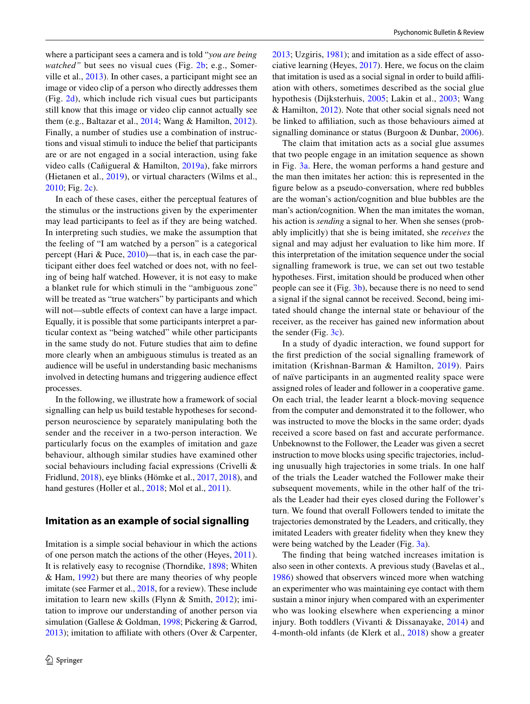where a participant sees a camera and is told "*you are being watched*" but sees no visual cues (Fig. [2b](#page-2-0); e.g., Somerville et al., [2013](#page-11-10)). In other cases, a participant might see an image or video clip of a person who directly addresses them (Fig. [2d](#page-2-0)), which include rich visual cues but participants still know that this image or video clip cannot actually see them (e.g., Baltazar et al., [2014](#page-8-5); Wang & Hamilton, [2012](#page-11-11)). Finally, a number of studies use a combination of instructions and visual stimuli to induce the belief that participants are or are not engaged in a social interaction, using fake video calls (Cañigueral & Hamilton, [2019a\)](#page-8-1), fake mirrors (Hietanen et al., [2019\)](#page-9-8), or virtual characters (Wilms et al., [2010](#page-12-2); Fig. [2c](#page-2-0)).

In each of these cases, either the perceptual features of the stimulus or the instructions given by the experimenter may lead participants to feel as if they are being watched. In interpreting such studies, we make the assumption that the feeling of "I am watched by a person" is a categorical percept (Hari & Puce, [2010](#page-9-9))—that is, in each case the participant either does feel watched or does not, with no feeling of being half watched. However, it is not easy to make a blanket rule for which stimuli in the "ambiguous zone" will be treated as "true watchers" by participants and which will not—subtle effects of context can have a large impact. Equally, it is possible that some participants interpret a particular context as "being watched" while other participants in the same study do not. Future studies that aim to defne more clearly when an ambiguous stimulus is treated as an audience will be useful in understanding basic mechanisms involved in detecting humans and triggering audience efect processes.

In the following, we illustrate how a framework of social signalling can help us build testable hypotheses for secondperson neuroscience by separately manipulating both the sender and the receiver in a two-person interaction. We particularly focus on the examples of imitation and gaze behaviour, although similar studies have examined other social behaviours including facial expressions (Crivelli & Fridlund, [2018\)](#page-9-10), eye blinks (Hömke et al., [2017](#page-10-7), [2018](#page-10-8)), and hand gestures (Holler et al., [2018;](#page-10-9) Mol et al., [2011\)](#page-10-10).

#### **Imitation as an example of social signalling**

Imitation is a simple social behaviour in which the actions of one person match the actions of the other (Heyes, [2011](#page-9-11)). It is relatively easy to recognise (Thorndike, [1898;](#page-11-12) Whiten & Ham, [1992\)](#page-11-13) but there are many theories of why people imitate (see Farmer et al., [2018](#page-9-12), for a review). These include imitation to learn new skills (Flynn & Smith, [2012\)](#page-9-13); imitation to improve our understanding of another person via simulation (Gallese & Goldman, [1998;](#page-9-14) Pickering & Garrod,  $2013$ ); imitation to affiliate with others (Over & Carpenter, [2013](#page-10-12); Uzgiris, [1981\)](#page-11-14); and imitation as a side efect of associative learning (Heyes, [2017](#page-9-15)). Here, we focus on the claim that imitation is used as a social signal in order to build afliation with others, sometimes described as the social glue hypothesis (Dijksterhuis, [2005;](#page-9-16) Lakin et al., [2003](#page-10-13); Wang & Hamilton, [2012](#page-11-11)). Note that other social signals need not be linked to affiliation, such as those behaviours aimed at signalling dominance or status (Burgoon & Dunbar, [2006](#page-8-6)).

The claim that imitation acts as a social glue assumes that two people engage in an imitation sequence as shown in Fig. [3a](#page-4-0). Here, the woman performs a hand gesture and the man then imitates her action: this is represented in the fgure below as a pseudo-conversation, where red bubbles are the woman's action/cognition and blue bubbles are the man's action/cognition. When the man imitates the woman, his action is *sending* a signal to her. When she senses (probably implicitly) that she is being imitated, she *receives* the signal and may adjust her evaluation to like him more. If this interpretation of the imitation sequence under the social signalling framework is true, we can set out two testable hypotheses. First, imitation should be produced when other people can see it (Fig. [3b](#page-4-0)), because there is no need to send a signal if the signal cannot be received. Second, being imitated should change the internal state or behaviour of the receiver, as the receiver has gained new information about the sender (Fig. [3c](#page-4-0)).

In a study of dyadic interaction, we found support for the frst prediction of the social signalling framework of imitation (Krishnan-Barman & Hamilton, [2019\)](#page-10-14). Pairs of naïve participants in an augmented reality space were assigned roles of leader and follower in a cooperative game. On each trial, the leader learnt a block-moving sequence from the computer and demonstrated it to the follower, who was instructed to move the blocks in the same order; dyads received a score based on fast and accurate performance. Unbeknownst to the Follower, the Leader was given a secret instruction to move blocks using specifc trajectories, including unusually high trajectories in some trials. In one half of the trials the Leader watched the Follower make their subsequent movements, while in the other half of the trials the Leader had their eyes closed during the Follower's turn. We found that overall Followers tended to imitate the trajectories demonstrated by the Leaders, and critically, they imitated Leaders with greater fdelity when they knew they were being watched by the Leader (Fig. [3a\)](#page-4-0).

The fnding that being watched increases imitation is also seen in other contexts. A previous study (Bavelas et al., [1986\)](#page-8-7) showed that observers winced more when watching an experimenter who was maintaining eye contact with them sustain a minor injury when compared with an experimenter who was looking elsewhere when experiencing a minor injury. Both toddlers (Vivanti & Dissanayake, [2014\)](#page-11-15) and 4-month-old infants (de Klerk et al., [2018](#page-9-17)) show a greater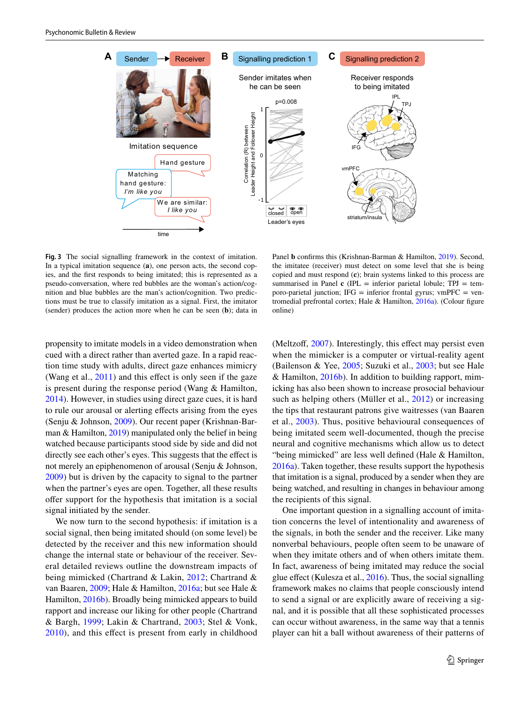

<span id="page-4-0"></span>**Fig. 3** The social signalling framework in the context of imitation. In a typical imitation sequence (**a**), one person acts, the second copies, and the frst responds to being imitated; this is represented as a pseudo-conversation, where red bubbles are the woman's action/cognition and blue bubbles are the man's action/cognition. Two predictions must be true to classify imitation as a signal. First, the imitator (sender) produces the action more when he can be seen (**b**); data in

Panel **b** confirms this (Krishnan-Barman & Hamilton, [2019\)](#page-10-14). Second, the imitatee (receiver) must detect on some level that she is being copied and must respond (**c**); brain systems linked to this process are summarised in Panel  $\bf{c}$  (IPL = inferior parietal lobule; TPJ = temporo-parietal junction; IFG = inferior frontal gyrus; vmPFC = ven-tromedial prefrontal cortex; Hale & Hamilton, [2016a](#page-9-20)). (Colour figure online)

propensity to imitate models in a video demonstration when cued with a direct rather than averted gaze. In a rapid reaction time study with adults, direct gaze enhances mimicry (Wang et al., [2011](#page-11-16)) and this effect is only seen if the gaze is present during the response period (Wang & Hamilton, [2014](#page-11-17)). However, in studies using direct gaze cues, it is hard to rule our arousal or alerting efects arising from the eyes (Senju & Johnson, [2009\)](#page-11-18). Our recent paper (Krishnan-Barman & Hamilton, [2019](#page-10-14)) manipulated only the belief in being watched because participants stood side by side and did not directly see each other's eyes. This suggests that the efect is not merely an epiphenomenon of arousal (Senju & Johnson, [2009](#page-11-18)) but is driven by the capacity to signal to the partner when the partner's eyes are open. Together, all these results offer support for the hypothesis that imitation is a social signal initiated by the sender.

We now turn to the second hypothesis: if imitation is a social signal, then being imitated should (on some level) be detected by the receiver and this new information should change the internal state or behaviour of the receiver. Several detailed reviews outline the downstream impacts of being mimicked (Chartrand & Lakin, [2012;](#page-9-18) Chartrand & van Baaren, [2009](#page-9-19); Hale & Hamilton, [2016a;](#page-9-20) but see Hale & Hamilton, [2016b](#page-9-21)). Broadly being mimicked appears to build rapport and increase our liking for other people (Chartrand & Bargh, [1999](#page-9-22); Lakin & Chartrand, [2003;](#page-10-15) Stel & Vonk, [2010\)](#page-11-19), and this efect is present from early in childhood (Meltzoff, [2007\)](#page-10-16). Interestingly, this effect may persist even when the mimicker is a computer or virtual-reality agent (Bailenson & Yee, [2005](#page-8-8); Suzuki et al., [2003;](#page-11-20) but see Hale & Hamilton, [2016b](#page-9-21)). In addition to building rapport, mimicking has also been shown to increase prosocial behaviour such as helping others (Müller et al., [2012\)](#page-10-17) or increasing the tips that restaurant patrons give waitresses (van Baaren et al., [2003](#page-11-21)). Thus, positive behavioural consequences of being imitated seem well-documented, though the precise neural and cognitive mechanisms which allow us to detect "being mimicked" are less well defned (Hale & Hamilton, [2016a\)](#page-9-20). Taken together, these results support the hypothesis that imitation is a signal, produced by a sender when they are being watched, and resulting in changes in behaviour among the recipients of this signal.

One important question in a signalling account of imitation concerns the level of intentionality and awareness of the signals, in both the sender and the receiver. Like many nonverbal behaviours, people often seem to be unaware of when they imitate others and of when others imitate them. In fact, awareness of being imitated may reduce the social glue effect (Kulesza et al.,  $2016$ ). Thus, the social signalling framework makes no claims that people consciously intend to send a signal or are explicitly aware of receiving a signal, and it is possible that all these sophisticated processes can occur without awareness, in the same way that a tennis player can hit a ball without awareness of their patterns of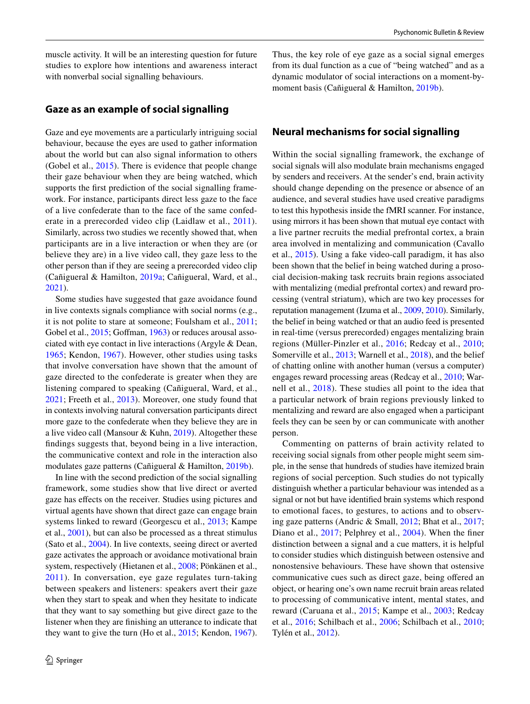muscle activity. It will be an interesting question for future studies to explore how intentions and awareness interact with nonverbal social signalling behaviours.

#### **Gaze as an example of social signalling**

Gaze and eye movements are a particularly intriguing social behaviour, because the eyes are used to gather information about the world but can also signal information to others (Gobel et al., [2015](#page-9-3)). There is evidence that people change their gaze behaviour when they are being watched, which supports the first prediction of the social signalling framework. For instance, participants direct less gaze to the face of a live confederate than to the face of the same confederate in a prerecorded video clip (Laidlaw et al., [2011\)](#page-10-2). Similarly, across two studies we recently showed that, when participants are in a live interaction or when they are (or believe they are) in a live video call, they gaze less to the other person than if they are seeing a prerecorded video clip (Cañigueral & Hamilton, [2019a](#page-8-1); Cañigueral, Ward, et al., [2021](#page-8-9)).

Some studies have suggested that gaze avoidance found in live contexts signals compliance with social norms (e.g., it is not polite to stare at someone; Foulsham et al., [2011](#page-9-23); Gobel et al., [2015](#page-9-3); Goffman, [1963\)](#page-9-24) or reduces arousal associated with eye contact in live interactions (Argyle & Dean, [1965;](#page-8-10) Kendon, [1967\)](#page-10-19). However, other studies using tasks that involve conversation have shown that the amount of gaze directed to the confederate is greater when they are listening compared to speaking (Cañigueral, Ward, et al., [2021](#page-8-9); Freeth et al., [2013\)](#page-9-25). Moreover, one study found that in contexts involving natural conversation participants direct more gaze to the confederate when they believe they are in a live video call (Mansour & Kuhn, [2019](#page-10-20)). Altogether these fndings suggests that, beyond being in a live interaction, the communicative context and role in the interaction also modulates gaze patterns (Cañigueral & Hamilton, [2019b](#page-8-11)).

In line with the second prediction of the social signalling framework, some studies show that live direct or averted gaze has efects on the receiver. Studies using pictures and virtual agents have shown that direct gaze can engage brain systems linked to reward (Georgescu et al., [2013;](#page-9-26) Kampe et al., [2001](#page-10-21)), but can also be processed as a threat stimulus (Sato et al., [2004\)](#page-11-22). In live contexts, seeing direct or averted gaze activates the approach or avoidance motivational brain system, respectively (Hietanen et al., [2008](#page-9-27); Pönkänen et al., [2011](#page-10-22)). In conversation, eye gaze regulates turn-taking between speakers and listeners: speakers avert their gaze when they start to speak and when they hesitate to indicate that they want to say something but give direct gaze to the listener when they are fnishing an utterance to indicate that they want to give the turn (Ho et al., [2015;](#page-9-28) Kendon, [1967](#page-10-19)).

Thus, the key role of eye gaze as a social signal emerges from its dual function as a cue of "being watched" and as a dynamic modulator of social interactions on a moment-bymoment basis (Cañigueral & Hamilton, [2019b](#page-8-11)).

#### **Neural mechanisms for social signalling**

Within the social signalling framework, the exchange of social signals will also modulate brain mechanisms engaged by senders and receivers. At the sender's end, brain activity should change depending on the presence or absence of an audience, and several studies have used creative paradigms to test this hypothesis inside the fMRI scanner. For instance, using mirrors it has been shown that mutual eye contact with a live partner recruits the medial prefrontal cortex, a brain area involved in mentalizing and communication (Cavallo et al., [2015](#page-9-29)). Using a fake video-call paradigm, it has also been shown that the belief in being watched during a prosocial decision-making task recruits brain regions associated with mentalizing (medial prefrontal cortex) and reward processing (ventral striatum), which are two key processes for reputation management (Izuma et al., [2009,](#page-10-3) [2010](#page-10-6)). Similarly, the belief in being watched or that an audio feed is presented in real-time (versus prerecorded) engages mentalizing brain regions (Müller-Pinzler et al., [2016;](#page-10-23) Redcay et al., [2010](#page-11-23); Somerville et al., [2013](#page-11-10); Warnell et al., [2018](#page-11-24)), and the belief of chatting online with another human (versus a computer) engages reward processing areas (Redcay et al., [2010](#page-11-23); Warnell et al., [2018\)](#page-11-24). These studies all point to the idea that a particular network of brain regions previously linked to mentalizing and reward are also engaged when a participant feels they can be seen by or can communicate with another person.

Commenting on patterns of brain activity related to receiving social signals from other people might seem simple, in the sense that hundreds of studies have itemized brain regions of social perception. Such studies do not typically distinguish whether a particular behaviour was intended as a signal or not but have identifed brain systems which respond to emotional faces, to gestures, to actions and to observing gaze patterns (Andric & Small, [2012](#page-8-12); Bhat et al., [2017](#page-8-13); Diano et al., [2017](#page-9-30); Pelphrey et al., [2004](#page-10-24)). When the fner distinction between a signal and a cue matters, it is helpful to consider studies which distinguish between ostensive and nonostensive behaviours. These have shown that ostensive communicative cues such as direct gaze, being ofered an object, or hearing one's own name recruit brain areas related to processing of communicative intent, mental states, and reward (Caruana et al., [2015;](#page-9-31) Kampe et al., [2003](#page-10-25); Redcay et al., [2016](#page-11-25); Schilbach et al., [2006;](#page-11-26) Schilbach et al., [2010](#page-11-27); Tylén et al., [2012](#page-11-28)).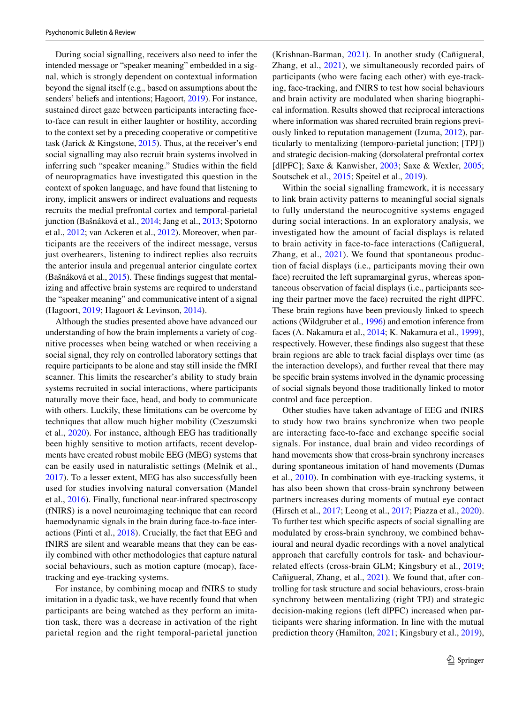During social signalling, receivers also need to infer the intended message or "speaker meaning" embedded in a signal, which is strongly dependent on contextual information beyond the signal itself (e.g., based on assumptions about the senders' beliefs and intentions; Hagoort, [2019\)](#page-9-32). For instance, sustained direct gaze between participants interacting faceto-face can result in either laughter or hostility, according to the context set by a preceding cooperative or competitive task (Jarick & Kingstone, [2015\)](#page-10-26). Thus, at the receiver's end social signalling may also recruit brain systems involved in inferring such "speaker meaning." Studies within the feld of neuropragmatics have investigated this question in the context of spoken language, and have found that listening to irony, implicit answers or indirect evaluations and requests recruits the medial prefrontal cortex and temporal-parietal junction (Bašnáková et al., [2014](#page-8-14); Jang et al., [2013](#page-10-27); Spotorno et al., [2012](#page-11-29); van Ackeren et al., [2012](#page-11-30)). Moreover, when participants are the receivers of the indirect message, versus just overhearers, listening to indirect replies also recruits the anterior insula and pregenual anterior cingulate cortex (Bašnáková et al., [2015](#page-8-15)). These fndings suggest that mentalizing and afective brain systems are required to understand the "speaker meaning" and communicative intent of a signal (Hagoort, [2019;](#page-9-32) Hagoort & Levinson, [2014\)](#page-9-33).

Although the studies presented above have advanced our understanding of how the brain implements a variety of cognitive processes when being watched or when receiving a social signal, they rely on controlled laboratory settings that require participants to be alone and stay still inside the fMRI scanner. This limits the researcher's ability to study brain systems recruited in social interactions, where participants naturally move their face, head, and body to communicate with others. Luckily, these limitations can be overcome by techniques that allow much higher mobility (Czeszumski et al., [2020\)](#page-9-34). For instance, although EEG has traditionally been highly sensitive to motion artifacts, recent developments have created robust mobile EEG (MEG) systems that can be easily used in naturalistic settings (Melnik et al., [2017](#page-10-28)). To a lesser extent, MEG has also successfully been used for studies involving natural conversation (Mandel et al., [2016](#page-10-29)). Finally, functional near-infrared spectroscopy (fNIRS) is a novel neuroimaging technique that can record haemodynamic signals in the brain during face-to-face interactions (Pinti et al., [2018\)](#page-10-30). Crucially, the fact that EEG and fNIRS are silent and wearable means that they can be easily combined with other methodologies that capture natural social behaviours, such as motion capture (mocap), facetracking and eye-tracking systems.

For instance, by combining mocap and fNIRS to study imitation in a dyadic task, we have recently found that when participants are being watched as they perform an imitation task, there was a decrease in activation of the right parietal region and the right temporal-parietal junction (Krishnan-Barman, [2021](#page-10-31)). In another study (Cañigueral, Zhang, et al., [2021\)](#page-9-35), we simultaneously recorded pairs of participants (who were facing each other) with eye-tracking, face-tracking, and fNIRS to test how social behaviours and brain activity are modulated when sharing biographical information. Results showed that reciprocal interactions where information was shared recruited brain regions previously linked to reputation management (Izuma, [2012\)](#page-10-32), particularly to mentalizing (temporo-parietal junction; [TPJ]) and strategic decision-making (dorsolateral prefrontal cortex [dlPFC]; Saxe & Kanwisher, [2003;](#page-11-31) Saxe & Wexler, [2005](#page-11-32); Soutschek et al., [2015;](#page-11-33) Speitel et al., [2019](#page-11-34)).

Within the social signalling framework, it is necessary to link brain activity patterns to meaningful social signals to fully understand the neurocognitive systems engaged during social interactions. In an exploratory analysis, we investigated how the amount of facial displays is related to brain activity in face-to-face interactions (Cañigueral, Zhang, et al., [2021\)](#page-9-35). We found that spontaneous production of facial displays (i.e., participants moving their own face) recruited the left supramarginal gyrus, whereas spontaneous observation of facial displays (i.e., participants seeing their partner move the face) recruited the right dlPFC. These brain regions have been previously linked to speech actions (Wildgruber et al., [1996](#page-11-35)) and emotion inference from faces (A. Nakamura et al., [2014;](#page-10-33) K. Nakamura et al., [1999](#page-10-34)), respectively. However, these fndings also suggest that these brain regions are able to track facial displays over time (as the interaction develops), and further reveal that there may be specifc brain systems involved in the dynamic processing of social signals beyond those traditionally linked to motor control and face perception.

Other studies have taken advantage of EEG and fNIRS to study how two brains synchronize when two people are interacting face-to-face and exchange specifc social signals. For instance, dual brain and video recordings of hand movements show that cross-brain synchrony increases during spontaneous imitation of hand movements (Dumas et al., [2010](#page-9-36)). In combination with eye-tracking systems, it has also been shown that cross-brain synchrony between partners increases during moments of mutual eye contact (Hirsch et al., [2017;](#page-9-37) Leong et al., [2017](#page-10-35); Piazza et al., [2020](#page-10-36)). To further test which specifc aspects of social signalling are modulated by cross-brain synchrony, we combined behavioural and neural dyadic recordings with a novel analytical approach that carefully controls for task- and behaviour-related effects (cross-brain GLM; Kingsbury et al., [2019](#page-10-37); Cañigueral, Zhang, et al., [2021\)](#page-9-35). We found that, after controlling for task structure and social behaviours, cross-brain synchrony between mentalizing (right TPJ) and strategic decision-making regions (left dlPFC) increased when participants were sharing information. In line with the mutual prediction theory (Hamilton, [2021;](#page-9-38) Kingsbury et al., [2019](#page-10-37)),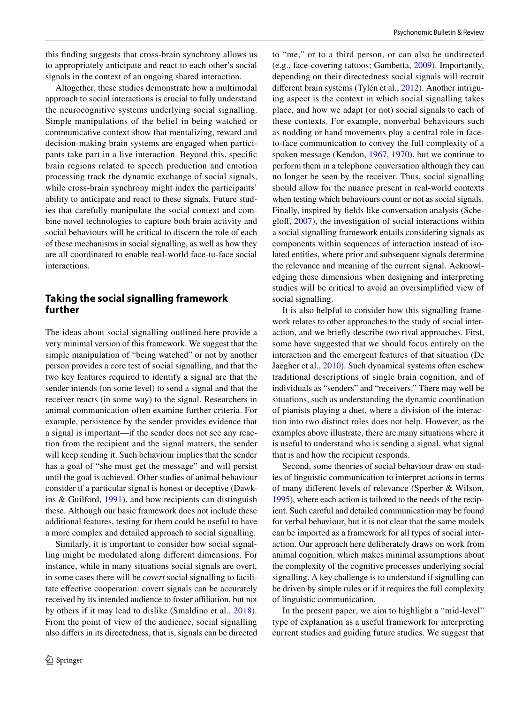this fnding suggests that cross-brain synchrony allows us to appropriately anticipate and react to each other's social signals in the context of an ongoing shared interaction.

Altogether, these studies demonstrate how a multimodal approach to social interactions is crucial to fully understand the neurocognitive systems underlying social signalling. Simple manipulations of the belief in being watched or communicative context show that mentalizing, reward and decision-making brain systems are engaged when participants take part in a live interaction. Beyond this, specifc brain regions related to speech production and emotion processing track the dynamic exchange of social signals, while cross-brain synchrony might index the participants' ability to anticipate and react to these signals. Future studies that carefully manipulate the social context and combine novel technologies to capture both brain activity and social behaviours will be critical to discern the role of each of these mechanisms in social signalling, as well as how they are all coordinated to enable real-world face-to-face social interactions.

#### **Taking the social signalling framework further**

The ideas about social signalling outlined here provide a very minimal version of this framework. We suggest that the simple manipulation of "being watched" or not by another person provides a core test of social signalling, and that the two key features required to identify a signal are that the sender intends (on some level) to send a signal and that the receiver reacts (in some way) to the signal. Researchers in animal communication often examine further criteria. For example, persistence by the sender provides evidence that a signal is important—if the sender does not see any reaction from the recipient and the signal matters, the sender will keep sending it. Such behaviour implies that the sender has a goal of "she must get the message" and will persist until the goal is achieved. Other studies of animal behaviour consider if a particular signal is honest or deceptive (Dawkins & Guilford, [1991\)](#page-9-39), and how recipients can distinguish these. Although our basic framework does not include these additional features, testing for them could be useful to have a more complex and detailed approach to social signalling.

Similarly, it is important to consider how social signalling might be modulated along diferent dimensions. For instance, while in many situations social signals are overt, in some cases there will be *covert* social signalling to facilitate efective cooperation: covert signals can be accurately received by its intended audience to foster afliation, but not by others if it may lead to dislike (Smaldino et al., [2018](#page-11-36)). From the point of view of the audience, social signalling also difers in its directedness, that is, signals can be directed to "me," or to a third person, or can also be undirected (e.g., face-covering tattoos; Gambetta, [2009\)](#page-9-40). Importantly, depending on their directedness social signals will recruit diferent brain systems (Tylén et al., [2012\)](#page-11-28). Another intriguing aspect is the context in which social signalling takes place, and how we adapt (or not) social signals to each of these contexts. For example, nonverbal behaviours such as nodding or hand movements play a central role in faceto-face communication to convey the full complexity of a spoken message (Kendon, [1967,](#page-10-19) [1970](#page-10-38)), but we continue to perform them in a telephone conversation although they can no longer be seen by the receiver. Thus, social signalling should allow for the nuance present in real-world contexts when testing which behaviours count or not as social signals. Finally, inspired by felds like conversation analysis (Scheglof, [2007\)](#page-11-37), the investigation of social interactions within a social signalling framework entails considering signals as components within sequences of interaction instead of isolated entities, where prior and subsequent signals determine the relevance and meaning of the current signal. Acknowledging these dimensions when designing and interpreting studies will be critical to avoid an oversimplifed view of social signalling.

It is also helpful to consider how this signalling framework relates to other approaches to the study of social interaction, and we briefy describe two rival approaches. First, some have suggested that we should focus entirely on the interaction and the emergent features of that situation (De Jaegher et al., [2010](#page-9-0)). Such dynamical systems often eschew traditional descriptions of single brain cognition, and of individuals as "senders" and "receivers." There may well be situations, such as understanding the dynamic coordination of pianists playing a duet, where a division of the interaction into two distinct roles does not help. However, as the examples above illustrate, there are many situations where it is useful to understand who is sending a signal, what signal that is and how the recipient responds.

Second, some theories of social behaviour draw on studies of linguistic communication to interpret actions in terms of many diferent levels of relevance (Sperber & Wilson, [1995\)](#page-11-38), where each action is tailored to the needs of the recipient. Such careful and detailed communication may be found for verbal behaviour, but it is not clear that the same models can be imported as a framework for all types of social interaction. Our approach here deliberately draws on work from animal cognition, which makes minimal assumptions about the complexity of the cognitive processes underlying social signalling. A key challenge is to understand if signalling can be driven by simple rules or if it requires the full complexity of linguistic communication.

In the present paper, we aim to highlight a "mid-level" type of explanation as a useful framework for interpreting current studies and guiding future studies. We suggest that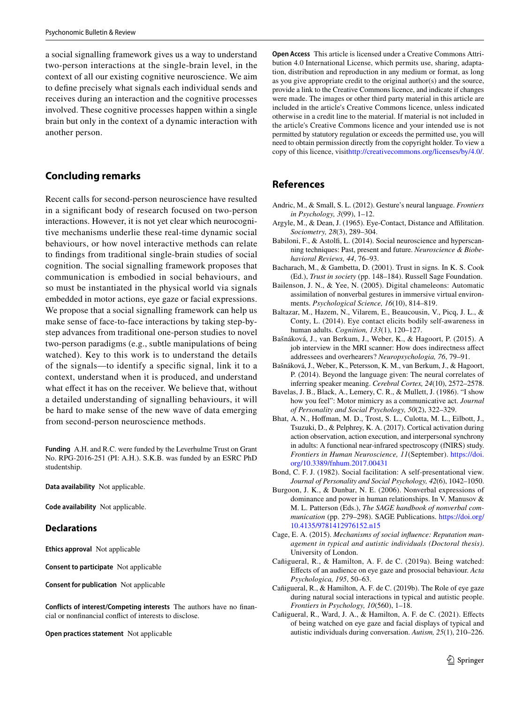a social signalling framework gives us a way to understand two-person interactions at the single-brain level, in the context of all our existing cognitive neuroscience. We aim to defne precisely what signals each individual sends and receives during an interaction and the cognitive processes involved. These cognitive processes happen within a single brain but only in the context of a dynamic interaction with another person.

## **Concluding remarks**

Recent calls for second-person neuroscience have resulted in a signifcant body of research focused on two-person interactions. However, it is not yet clear which neurocognitive mechanisms underlie these real-time dynamic social behaviours, or how novel interactive methods can relate to fndings from traditional single-brain studies of social cognition. The social signalling framework proposes that communication is embodied in social behaviours, and so must be instantiated in the physical world via signals embedded in motor actions, eye gaze or facial expressions. We propose that a social signalling framework can help us make sense of face-to-face interactions by taking step-bystep advances from traditional one-person studies to novel two-person paradigms (e.g., subtle manipulations of being watched). Key to this work is to understand the details of the signals—to identify a specifc signal, link it to a context, understand when it is produced, and understand what effect it has on the receiver. We believe that, without a detailed understanding of signalling behaviours, it will be hard to make sense of the new wave of data emerging from second-person neuroscience methods.

**Funding** A.H. and R.C. were funded by the Leverhulme Trust on Grant No. RPG-2016-251 (PI: A.H.). S.K.B. was funded by an ESRC PhD studentship.

**Data availability** Not applicable.

**Code availability** Not applicable.

#### **Declarations**

**Ethics approval** Not applicable

**Consent to participate** Not applicable

**Consent for publication** Not applicable

**Conflicts of interest/Competing interests** The authors have no fnancial or nonfnancial confict of interests to disclose.

**Open practices statement** Not applicable

**Open Access** This article is licensed under a Creative Commons Attribution 4.0 International License, which permits use, sharing, adaptation, distribution and reproduction in any medium or format, as long as you give appropriate credit to the original author(s) and the source, provide a link to the Creative Commons licence, and indicate if changes were made. The images or other third party material in this article are included in the article's Creative Commons licence, unless indicated otherwise in a credit line to the material. If material is not included in the article's Creative Commons licence and your intended use is not permitted by statutory regulation or exceeds the permitted use, you will need to obtain permission directly from the copyright holder. To view a copy of this licence, visit<http://creativecommons.org/licenses/by/4.0/>.

## **References**

- <span id="page-8-12"></span>Andric, M., & Small, S. L. (2012). Gesture's neural language. *Frontiers in Psychology, 3*(99), 1–12.
- <span id="page-8-10"></span>Argyle, M., & Dean, J. (1965). Eye-Contact, Distance and Aflitation. *Sociometry, 28*(3), 289–304.
- <span id="page-8-0"></span>Babiloni, F., & Astolf, L. (2014). Social neuroscience and hyperscanning techniques: Past, present and future. *Neuroscience & Biobehavioral Reviews, 44*, 76–93.
- <span id="page-8-4"></span>Bacharach, M., & Gambetta, D. (2001). Trust in signs. In K. S. Cook (Ed.), *Trust in society* (pp. 148–184). Russell Sage Foundation.
- <span id="page-8-8"></span>Bailenson, J. N., & Yee, N. (2005). Digital chameleons: Automatic assimilation of nonverbal gestures in immersive virtual environments. *Psychological Science, 16*(10), 814–819.
- <span id="page-8-5"></span>Baltazar, M., Hazem, N., Vilarem, E., Beaucousin, V., Picq, J. L., & Conty, L. (2014). Eye contact elicits bodily self-awareness in human adults. *Cognition, 133*(1), 120–127.
- <span id="page-8-15"></span>Bašnáková, J., van Berkum, J., Weber, K., & Hagoort, P. (2015). A job interview in the MRI scanner: How does indirectness afect addressees and overhearers? *Neuropsychologia, 76*, 79–91.
- <span id="page-8-14"></span>Bašnáková, J., Weber, K., Petersson, K. M., van Berkum, J., & Hagoort, P. (2014). Beyond the language given: The neural correlates of inferring speaker meaning. *Cerebral Cortex, 24*(10), 2572–2578.
- <span id="page-8-7"></span>Bavelas, J. B., Black, A., Lemery, C. R., & Mullett, J. (1986). "I show how you feel": Motor mimicry as a communicative act. *Journal of Personality and Social Psychology, 50*(2), 322–329.
- <span id="page-8-13"></span>Bhat, A. N., Hofman, M. D., Trost, S. L., Culotta, M. L., Eilbott, J., Tsuzuki, D., & Pelphrey, K. A. (2017). Cortical activation during action observation, action execution, and interpersonal synchrony in adults: A functional near-infrared spectroscopy (fNIRS) study. *Frontiers in Human Neuroscience, 11*(September). [https://doi.](https://doi.org/10.3389/fnhum.2017.00431) [org/10.3389/fnhum.2017.00431](https://doi.org/10.3389/fnhum.2017.00431)
- <span id="page-8-2"></span>Bond, C. F. J. (1982). Social facilitation: A self-presentational view. *Journal of Personality and Social Psychology, 42*(6), 1042–1050.
- <span id="page-8-6"></span>Burgoon, J. K., & Dunbar, N. E. (2006). Nonverbal expressions of dominance and power in human relationships. In V. Manusov & M. L. Patterson (Eds.), *The SAGE handbook of nonverbal communication* (pp. 279–298). SAGE Publications. [https://doi.org/](https://doi.org/10.4135/9781412976152.n15) [10.4135/9781412976152.n15](https://doi.org/10.4135/9781412976152.n15)
- <span id="page-8-3"></span>Cage, E. A. (2015). *Mechanisms of social infuence: Reputation management in typical and autistic individuals (Doctoral thesis)*. University of London.
- <span id="page-8-1"></span>Cañigueral, R., & Hamilton, A. F. de C. (2019a). Being watched: Efects of an audience on eye gaze and prosocial behaviour. *Acta Psychologica, 195*, 50–63.
- <span id="page-8-11"></span>Cañigueral, R., & Hamilton, A. F. de C. (2019b). The Role of eye gaze during natural social interactions in typical and autistic people. *Frontiers in Psychology, 10*(560), 1–18.
- <span id="page-8-9"></span>Cañigueral, R., Ward, J. A., & Hamilton, A. F. de C. (2021). Efects of being watched on eye gaze and facial displays of typical and autistic individuals during conversation. *Autism, 25*(1), 210–226.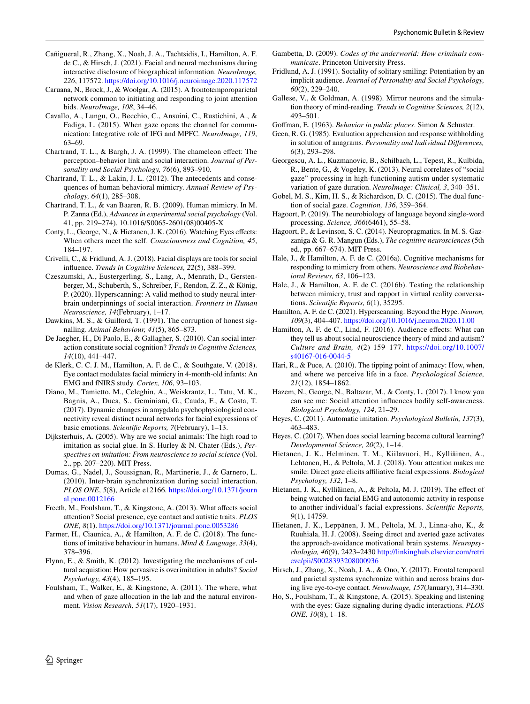- <span id="page-9-35"></span>Cañigueral, R., Zhang, X., Noah, J. A., Tachtsidis, I., Hamilton, A. F. de C., & Hirsch, J. (2021). Facial and neural mechanisms during interactive disclosure of biographical information. *NeuroImage, 226*, 117572.<https://doi.org/10.1016/j.neuroimage.2020.117572>
- <span id="page-9-31"></span>Caruana, N., Brock, J., & Woolgar, A. (2015). A frontotemporoparietal network common to initiating and responding to joint attention bids. *NeuroImage, 108*, 34–46.
- <span id="page-9-29"></span>Cavallo, A., Lungu, O., Becchio, C., Ansuini, C., Rustichini, A., & Fadiga, L. (2015). When gaze opens the channel for communication: Integrative role of IFG and MPFC. *NeuroImage, 119*, 63–69.
- <span id="page-9-22"></span>Chartrand, T. L., & Bargh, J. A. (1999). The chameleon efect: The perception–behavior link and social interaction. *Journal of Personality and Social Psychology, 76*(6), 893–910.
- <span id="page-9-18"></span>Chartrand, T. L., & Lakin, J. L. (2012). The antecedents and consequences of human behavioral mimicry. *Annual Review of Psychology, 64*(1), 285–308.
- <span id="page-9-19"></span>Chartrand, T. L., & van Baaren, R. B. (2009). Human mimicry. In M. P. Zanna (Ed.), *Advances in experimental social psychology* (Vol. 41, pp. 219–274). 10.1016/S0065-2601(08)00405-X
- <span id="page-9-6"></span>Conty, L., George, N., & Hietanen, J. K. (2016). Watching Eyes efects: When others meet the self. *Consciousness and Cognition, 45*, 184–197.
- <span id="page-9-10"></span>Crivelli, C., & Fridlund, A. J. (2018). Facial displays are tools for social infuence. *Trends in Cognitive Sciences, 22*(5), 388–399.
- <span id="page-9-34"></span>Czeszumski, A., Eustergerling, S., Lang, A., Menrath, D., Gerstenberger, M., Schuberth, S., Schreiber, F., Rendon, Z. Z., & König, P. (2020). Hyperscanning: A valid method to study neural interbrain underpinnings of social interaction. *Frontiers in Human Neuroscience, 14*(February), 1–17.
- <span id="page-9-39"></span>Dawkins, M. S., & Guilford, T. (1991). The corruption of honest signalling. *Animal Behaviour, 41*(5), 865–873.
- <span id="page-9-0"></span>De Jaegher, H., Di Paolo, E., & Gallagher, S. (2010). Can social interaction constitute social cognition? *Trends in Cognitive Sciences, 14*(10), 441–447.
- <span id="page-9-17"></span>de Klerk, C. C. J. M., Hamilton, A. F. de C., & Southgate, V. (2018). Eye contact modulates facial mimicry in 4-month-old infants: An EMG and fNIRS study. *Cortex, 106*, 93–103.
- <span id="page-9-30"></span>Diano, M., Tamietto, M., Celeghin, A., Weiskrantz, L., Tatu, M. K., Bagnis, A., Duca, S., Geminiani, G., Cauda, F., & Costa, T. (2017). Dynamic changes in amygdala psychophysiological connectivity reveal distinct neural networks for facial expressions of basic emotions. *Scientifc Reports, 7*(February), 1–13.
- <span id="page-9-16"></span>Dijksterhuis, A. (2005). Why are we social animals: The high road to imitation as social glue. In S. Hurley & N. Chater (Eds.), *Perspectives on imitation: From neuroscience to social science* (Vol. 2., pp. 207–220). MIT Press.
- <span id="page-9-36"></span>Dumas, G., Nadel, J., Soussignan, R., Martinerie, J., & Garnero, L. (2010). Inter-brain synchronization during social interaction. *PLOS ONE*, *5*(8), Article e12166. [https://doi.org/10.1371/journ](https://doi.org/10.1371/journal.pone.0012166) [al.pone.0012166](https://doi.org/10.1371/journal.pone.0012166)
- <span id="page-9-25"></span>Freeth, M., Foulsham, T., & Kingstone, A. (2013). What affects social attention? Social presence, eye contact and autistic traits. *PLOS ONE, 8*(1).<https://doi.org/10.1371/journal.pone.0053286>
- <span id="page-9-12"></span>Farmer, H., Ciaunica, A., & Hamilton, A. F. de C. (2018). The functions of imitative behaviour in humans. *Mind & Language, 33*(4), 378–396.
- <span id="page-9-13"></span>Flynn, E., & Smith, K. (2012). Investigating the mechanisms of cultural acquistion: How pervasive is overimitation in adults? *Social Psychology, 43*(4), 185–195.
- <span id="page-9-23"></span>Foulsham, T., Walker, E., & Kingstone, A. (2011). The where, what and when of gaze allocation in the lab and the natural environment. *Vision Research, 51*(17), 1920–1931.
- <span id="page-9-40"></span>Gambetta, D. (2009). *Codes of the underworld: How criminals communicate*. Princeton University Press.
- <span id="page-9-4"></span>Fridlund, A. J. (1991). Sociality of solitary smiling: Potentiation by an implicit audience. *Journal of Personality and Social Psychology, 60*(2), 229–240.
- <span id="page-9-14"></span>Gallese, V., & Goldman, A. (1998). Mirror neurons and the simulation theory of mind-reading. *Trends in Cognitive Sciences, 2*(12), 493–501.

<span id="page-9-24"></span>Gofman, E. (1963). *Behavior in public places*. Simon & Schuster.

- <span id="page-9-1"></span>Geen, R. G. (1985). Evaluation apprehension and response withholding in solution of anagrams. *Personality and Individual Diferences, 6*(3), 293–298.
- <span id="page-9-26"></span>Georgescu, A. L., Kuzmanovic, B., Schilbach, L., Tepest, R., Kulbida, R., Bente, G., & Vogeley, K. (2013). Neural correlates of "social gaze" processing in high-functioning autism under systematic variation of gaze duration. *NeuroImage: Clinical, 3*, 340–351.
- <span id="page-9-3"></span>Gobel, M. S., Kim, H. S., & Richardson, D. C. (2015). The dual function of social gaze. *Cognition, 136*, 359–364.
- <span id="page-9-32"></span>Hagoort, P. (2019). The neurobiology of language beyond single-word processing. *Science, 366*(6461), 55–58.
- <span id="page-9-33"></span>Hagoort, P., & Levinson, S. C. (2014). Neuropragmatics. In M. S. Gazzaniga & G. R. Mangun (Eds.), *The cognitive neurosciences* (5th ed., pp. 667–674). MIT Press.
- <span id="page-9-20"></span>Hale, J., & Hamilton, A. F. de C. (2016a). Cognitive mechanisms for responding to mimicry from others. *Neuroscience and Biobehavioral Reviews, 63*, 106–123.
- <span id="page-9-21"></span>Hale, J., & Hamilton, A. F. de C. (2016b). Testing the relationship between mimicry, trust and rapport in virtual reality conversations. *Scientifc Reports, 6*(1), 35295.
- <span id="page-9-38"></span>Hamilton, A. F. de C. (2021). Hyperscanning: Beyond the Hype. *Neuron, 109*(3), 404–407. <https://doi.org/10.1016/j.neuron.2020.11.00>
- <span id="page-9-2"></span>Hamilton, A. F. de C., Lind, F. (2016). Audience effects: What can they tell us about social neuroscience theory of mind and autism? *Culture and Brain, 4*(2) 159–177. [https://doi.org/10.1007/](https://doi.org/10.1007/s40167-016-0044-5) [s40167-016-0044-5](https://doi.org/10.1007/s40167-016-0044-5)
- <span id="page-9-9"></span>Hari, R., & Puce, A. (2010). The tipping point of animacy: How, when, and where we perceive life in a face. *Psychological Science, 21*(12), 1854–1862.
- <span id="page-9-7"></span>Hazem, N., George, N., Baltazar, M., & Conty, L. (2017). I know you can see me: Social attention infuences bodily self-awareness. *Biological Psychology, 124*, 21–29.
- <span id="page-9-11"></span>Heyes, C. (2011). Automatic imitation. *Psychological Bulletin, 137*(3), 463–483.
- <span id="page-9-15"></span>Heyes, C. (2017). When does social learning become cultural learning? *Developmental Science, 20*(2), 1–14.
- <span id="page-9-5"></span>Hietanen, J. K., Helminen, T. M., Kiilavuori, H., Kylliäinen, A., Lehtonen, H., & Peltola, M. J. (2018). Your attention makes me smile: Direct gaze elicits afliative facial expressions. *Biological Psychology, 132*, 1–8.
- <span id="page-9-8"></span>Hietanen, J. K., Kylliäinen, A., & Peltola, M. J. (2019). The efect of being watched on facial EMG and autonomic activity in response to another individual's facial expressions. *Scientifc Reports, 9*(1), 14759.
- <span id="page-9-27"></span>Hietanen, J. K., Leppänen, J. M., Peltola, M. J., Linna-aho, K., & Ruuhiala, H. J. (2008). Seeing direct and averted gaze activates the approach-avoidance motivational brain systems. *Neuropsychologia, 46*(9), 2423–2430 [http://linkinghub.elsevier.com/retri](http://linkinghub.elsevier.com/retrieve/pii/S0028393208000936) [eve/pii/S0028393208000936](http://linkinghub.elsevier.com/retrieve/pii/S0028393208000936)
- <span id="page-9-37"></span>Hirsch, J., Zhang, X., Noah, J. A., & Ono, Y. (2017). Frontal temporal and parietal systems synchronize within and across brains during live eye-to-eye contact. *NeuroImage, 157*(January), 314–330.
- <span id="page-9-28"></span>Ho, S., Foulsham, T., & Kingstone, A. (2015). Speaking and listening with the eyes: Gaze signaling during dyadic interactions. *PLOS ONE, 10*(8), 1–18.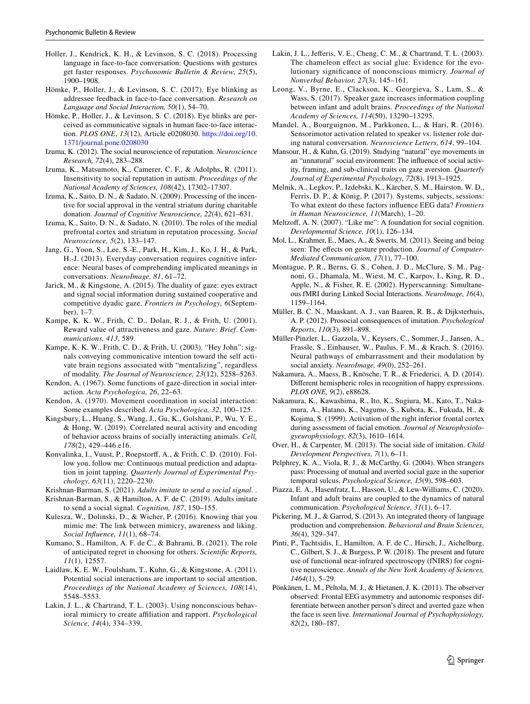- <span id="page-10-9"></span>Holler, J., Kendrick, K. H., & Levinson, S. C. (2018). Processing language in face-to-face conversation: Questions with gestures get faster responses. *Psychonomic Bulletin & Review, 25*(5), 1900–1908.
- <span id="page-10-7"></span>Hömke, P., Holler, J., & Levinson, S. C. (2017). Eye blinking as addressee feedback in face-to-face conversation. *Research on Language and Social Interaction, 50*(1), 54–70.
- <span id="page-10-8"></span>Hömke, P., Holler, J., & Levinson, S. C. (2018). Eye blinks are perceived as communicative signals in human face-to-face interaction. *PLOS ONE*, *13*(12), Article e0208030. [https://doi.org/10.](https://doi.org/10.1371/journal.pone.0208030) [1371/journal.pone.0208030](https://doi.org/10.1371/journal.pone.0208030)
- <span id="page-10-32"></span>Izuma, K. (2012). The social neuroscience of reputation. *Neuroscience Research, 72*(4), 283–288.
- <span id="page-10-4"></span>Izuma, K., Matsumoto, K., Camerer, C. F., & Adolphs, R. (2011). Insensitivity to social reputation in autism. *Proceedings of the National Academy of Sciences, 108*(42), 17302–17307.
- <span id="page-10-3"></span>Izuma, K., Saito, D. N., & Sadato, N. (2009). Processing of the incentive for social approval in the ventral striatum during charitable donation. *Journal of Cognitive Neuroscience, 22*(4), 621–631.
- <span id="page-10-6"></span>Izuma, K., Saito, D. N., & Sadato, N. (2010). The roles of the medial prefrontal cortex and striatum in reputation processing. *Social Neuroscience, 5*(2), 133–147.
- <span id="page-10-27"></span>Jang, G., Yoon, S., Lee, S.-E., Park, H., Kim, J., Ko, J. H., & Park, H.-J. (2013). Everyday conversation requires cognitive inference: Neural bases of comprehending implicated meanings in conversations. *NeuroImage, 81*, 61–72.
- <span id="page-10-26"></span>Jarick, M., & Kingstone, A. (2015). The duality of gaze: eyes extract and signal social information during sustained cooperative and competitive dyadic gaze. *Frontiers in Psychology, 6*(September), 1–7.
- <span id="page-10-21"></span>Kampe, K. K. W., Frith, C. D., Dolan, R. J., & Frith, U. (2001). Reward value of attractiveness and gaze. *Nature: Brief*. *Communications, 413*, 589.
- <span id="page-10-25"></span>Kampe, K. K. W., Frith, C. D., & Frith, U. (2003). "Hey John": signals conveying communicative intention toward the self activate brain regions associated with "mentalizing", regardless of modality. *The Journal of Neuroscience, 23*(12), 5258–5263.
- <span id="page-10-19"></span>Kendon, A. (1967). Some functions of gaze-direction in social interaction. *Acta Psychologica, 26*, 22–63.
- <span id="page-10-38"></span>Kendon, A. (1970). Movement coordination in social interaction: Some examples described. *Acta Psychologica, 32*, 100–125.
- <span id="page-10-37"></span>Kingsbury, L., Huang, S., Wang, J., Gu, K., Golshani, P., Wu, Y. E., & Hong, W. (2019). Correlated neural activity and encoding of behavior across brains of socially interacting animals. *Cell, 178*(2), 429–446.e16.
- <span id="page-10-0"></span>Konvalinka, I., Vuust, P., Roepstorf, A., & Frith, C. D. (2010). Follow you, follow me: Continuous mutual prediction and adaptation in joint tapping. *Quarterly Journal of Experimental Psychology, 63*(11), 2220–2230.
- <span id="page-10-31"></span>Krishnan-Barman, S. (2021). *Adults imitate to send a social signal*. .
- <span id="page-10-14"></span>Krishnan-Barman, S., & Hamilton, A. F. de C. (2019). Adults imitate to send a social signal. *Cognition, 187*, 150–155.
- <span id="page-10-18"></span>Kulesza, W., Dolinski, D., & Wicher, P. (2016). Knowing that you mimic me: The link between mimicry, awareness and liking. *Social Infuence, 11*(1), 68–74.
- <span id="page-10-5"></span>Kumano, S., Hamilton, A. F. de C., & Bahrami, B. (2021). The role of anticipated regret in choosing for others. *Scientifc Reports, 11*(1), 12557.
- <span id="page-10-2"></span>Laidlaw, K. E. W., Foulsham, T., Kuhn, G., & Kingstone, A. (2011). Potential social interactions are important to social attention. *Proceedings of the National Academy of Sciences, 108*(14), 5548–5553.
- <span id="page-10-15"></span>Lakin, J. L., & Chartrand, T. L. (2003). Using nonconscious behavioral mimicry to create afliation and rapport. *Psychological Science, 14*(4), 334–339.
- <span id="page-10-13"></span>Lakin, J. L., Jefferis, V. E., Cheng, C. M., & Chartrand, T. L. (2003). The chameleon effect as social glue: Evidence for the evolutionary signifcance of nonconscious mimicry. *Journal of Nonverbal Behavior, 27*(3), 145–161.
- <span id="page-10-35"></span>Leong, V., Byrne, E., Clackson, K., Georgieva, S., Lam, S., & Wass, S. (2017). Speaker gaze increases information coupling between infant and adult brains. *Proceedings of the National Academy of Sciences, 114*(50), 13290–13295.
- <span id="page-10-29"></span>Mandel, A., Bourguignon, M., Parkkonen, L., & Hari, R. (2016). Sensorimotor activation related to speaker vs. listener role during natural conversation. *Neuroscience Letters, 614*, 99–104.
- <span id="page-10-20"></span>Mansour, H., & Kuhn, G. (2019). Studying "natural" eye movements in an "unnatural" social environment: The infuence of social activity, framing, and sub-clinical traits on gaze aversion. *Quarterly Journal of Experimental Psychology, 72*(8), 1913–1925.
- <span id="page-10-28"></span>Melnik, A., Legkov, P., Izdebski, K., Kärcher, S. M., Hairston, W. D., Ferris, D. P., & König, P. (2017). Systems, subjects, sessions: To what extent do these factors infuence EEG data? *Frontiers in Human Neuroscience, 11*(March), 1–20.
- <span id="page-10-16"></span>Meltzoff, A. N. (2007). "Like me": A foundation for social cognition. *Developmental Science, 10*(1), 126–134.
- <span id="page-10-10"></span>Mol, L., Krahmer, E., Maes, A., & Swerts, M. (2011). Seeing and being seen: The efects on gesture production. *Journal of Computer-Mediated Communication, 17*(1), 77–100.
- <span id="page-10-1"></span>Montague, P. R., Berns, G. S., Cohen, J. D., McClure, S. M., Pagnoni, G., Dhamala, M., Wiest, M. C., Karpov, I., King, R. D., Apple, N., & Fisher, R. E. (2002). Hyperscanning: Simultaneous fMRI during Linked Social Interactions. *NeuroImage, 16*(4), 1159–1164.
- <span id="page-10-17"></span>Müller, B. C. N., Maaskant, A. J., van Baaren, R. B., & Dijksterhuis, A. P. (2012). Prosocial consequences of imitation. *Psychological Reports, 110*(3), 891–898.
- <span id="page-10-23"></span>Müller-Pinzler, L., Gazzola, V., Keysers, C., Sommer, J., Jansen, A., Frassle, S., Einhauser, W., Paulus, F. M., & Krach, S. (2016). Neural pathways of embarrassment and their modulation by social anxiety. *NeuroImage, 49*(0), 252–261.
- <span id="page-10-33"></span>Nakamura, A., Maess, B., Knösche, T. R., & Friederici, A. D. (2014). Diferent hemispheric roles in recognition of happy expressions. *PLOS ONE, 9*(2), e88628.
- <span id="page-10-34"></span>Nakamura, K., Kawashima, R., Ito, K., Sugiura, M., Kato, T., Nakamura, A., Hatano, K., Nagumo, S., Kubota, K., Fukuda, H., & Kojima, S. (1999). Activation of the right inferior frontal cortex during assessment of facial emotion. *Journal of Neurophysiologyeurophysiology, 82*(3), 1610–1614.
- <span id="page-10-12"></span>Over, H., & Carpenter, M. (2013). The social side of imitation. *Child Development Perspectives, 7*(1), 6–11.
- <span id="page-10-24"></span>Pelphrey, K. A., Viola, R. J., & McCarthy, G. (2004). When strangers pass: Processing of mutual and averted social gaze in the superior temporal sulcus. *Psychological Science, 15*(9), 598–603.
- <span id="page-10-36"></span>Piazza, E. A., Hasenfratz, L., Hasson, U., & Lew-Williams, C. (2020). Infant and adult brains are coupled to the dynamics of natural communication. *Psychological Science, 31*(1), 6–17.
- <span id="page-10-11"></span>Pickering, M. J., & Garrod, S. (2013). An integrated theory of language production and comprehension. *Behavioral and Brain Sciences, 36*(4), 329–347.
- <span id="page-10-30"></span>Pinti, P., Tachtsidis, I., Hamilton, A. F. de C., Hirsch, J., Aichelburg, C., Gilbert, S. J., & Burgess, P. W. (2018). The present and future use of functional near-infrared spectroscopy (fNIRS) for cognitive neuroscience. *Annals of the New York Academy of Sciences, 1464*(1), 5–29.
- <span id="page-10-22"></span>Pönkänen, L. M., Peltola, M. J., & Hietanen, J. K. (2011). The observer observed: Frontal EEG asymmetry and autonomic responses differentiate between another person's direct and averted gaze when the face is seen live. *International Journal of Psychophysiology, 82*(2), 180–187.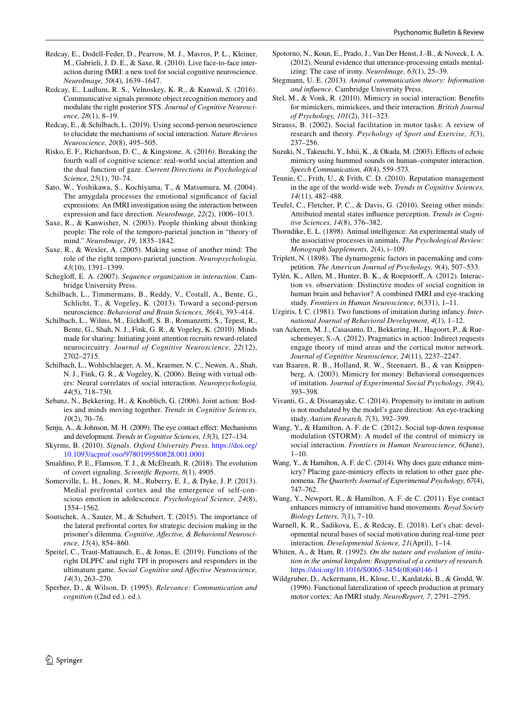- <span id="page-11-23"></span>Redcay, E., Dodell-Feder, D., Pearrow, M. J., Mavros, P. L., Kleiner, M., Gabrieli, J. D. E., & Saxe, R. (2010). Live face-to-face interaction during fMRI: a new tool for social cognitive neuroscience. *NeuroImage, 50*(4), 1639–1647.
- <span id="page-11-25"></span>Redcay, E., Ludlum, R. S., Velnoskey, K. R., & Kanwal, S. (2016). Communicative signals promote object recognition memory and modulate the right posterior STS. *Journal of Cognitive Neuroscience, 28*(1), 8–19.
- <span id="page-11-8"></span>Redcay, E., & Schilbach, L. (2019). Using second-person neuroscience to elucidate the mechanisms of social interaction. *Nature Reviews Neuroscience, 20*(8), 495–505.
- <span id="page-11-0"></span>Risko, E. F., Richardson, D. C., & Kingstone, A. (2016). Breaking the fourth wall of cognitive science: real-world social attention and the dual function of gaze. *Current Directions in Psychological Science, 25*(1), 70–74.
- <span id="page-11-22"></span>Sato, W., Yoshikawa, S., Kochiyama, T., & Matsumura, M. (2004). The amygdala processes the emotional signifcance of facial expressions: An fMRI investigation using the interaction between expression and face direction. *NeuroImage, 22*(2), 1006–1013.
- <span id="page-11-31"></span>Saxe, R., & Kanwisher, N. (2003). People thinking about thinking people: The role of the temporo-parietal junction in "theory of mind." *NeuroImage*, *19*, 1835–1842.
- <span id="page-11-32"></span>Saxe, R., & Wexler, A. (2005). Making sense of another mind: The role of the right temporo-parietal junction. *Neuropsychologia, 43*(10), 1391–1399.
- <span id="page-11-37"></span>Scheglof, E. A. (2007). *Sequence organization in interaction*. Cambridge University Press.
- <span id="page-11-1"></span>Schilbach, L., Timmermans, B., Reddy, V., Costall, A., Bente, G., Schlicht, T., & Vogeley, K. (2013). Toward a second-person neuroscience. *Behavioral and Brain Sciences, 36*(4), 393–414.
- <span id="page-11-27"></span>Schilbach, L., Wilms, M., Eickhoff, S. B., Romanzetti, S., Tepest, R., Bente, G., Shah, N. J., Fink, G. R., & Vogeley, K. (2010). Minds made for sharing: Initiating joint attention recruits reward-related neurocircuitry. *Journal of Cognitive Neuroscience, 22*(12), 2702–2715.
- <span id="page-11-26"></span>Schilbach, L., Wohlschlaeger, A. M., Kraemer, N. C., Newen, A., Shah, N. J., Fink, G. R., & Vogeley, K. (2006). Being with virtual others: Neural correlates of social interaction. *Neuropsychologia, 44*(5), 718–730.
- <span id="page-11-2"></span>Sebanz, N., Bekkering, H., & Knoblich, G. (2006). Joint action: Bodies and minds moving together. *Trends in Cognitive Sciences, 10*(2), 70–76.
- <span id="page-11-18"></span>Senju, A., & Johnson, M. H. (2009). The eye contact effect: Mechanisms and development. *Trends in Cognitive Sciences, 13*(3), 127–134.
- <span id="page-11-9"></span>Skyrms, B. (2010). *Signals*. *Oxford University Press.* [https://doi.org/](https://doi.org/10.1093/acprof:oso/9780199580828.001.0001) [10.1093/acprof:oso/9780199580828.001.0001](https://doi.org/10.1093/acprof:oso/9780199580828.001.0001)
- <span id="page-11-36"></span>Smaldino, P. E., Flamson, T. J., & McElreath, R. (2018). The evolution of covert signaling. *Scientifc Reports, 8*(1), 4905.
- <span id="page-11-10"></span>Somerville, L. H., Jones, R. M., Ruberry, E. J., & Dyke, J. P. (2013). Medial prefrontal cortex and the emergence of self-conscious emotion in adolescence. *Psychological Science, 24*(8), 1554–1562.
- <span id="page-11-33"></span>Soutschek, A., Sauter, M., & Schubert, T. (2015). The importance of the lateral prefrontal cortex for strategic decision making in the prisoner's dilemma. *Cognitive, Afective, & Behavioral Neuroscience, 15*(4), 854–860.
- <span id="page-11-34"></span>Speitel, C., Traut-Mattausch, E., & Jonas, E. (2019). Functions of the right DLPFC and right TPJ in proposers and responders in the ultimatum game. *Social Cognitive and Afective Neuroscience, 14*(3), 263–270.
- <span id="page-11-38"></span>Sperber, D., & Wilson, D. (1995). *Relevance: Communication and cognition* ((2nd ed.). ed.).
- <span id="page-11-29"></span>Spotorno, N., Koun, E., Prado, J., Van Der Henst, J.-B., & Noveck, I. A. (2012). Neural evidence that utterance-processing entails mentalizing: The case of irony. *NeuroImage, 63*(1), 25–39.
- <span id="page-11-7"></span>Stegmann, U. E. (2013). *Animal communication theory: Information and infuence*. Cambridge University Press.
- <span id="page-11-19"></span>Stel, M., & Vonk, R. (2010). Mimicry in social interaction: Benefts for mimickers, mimickees, and their interaction. *British Journal of Psychology, 101*(2), 311–323.
- <span id="page-11-3"></span>Strauss, B. (2002). Social facilitation in motor tasks: A review of research and theory. *Psychology of Sport and Exercise, 3*(3), 237–256.
- <span id="page-11-20"></span>Suzuki, N., Takeuchi, Y., Ishii, K., & Okada, M. (2003). Effects of echoic mimicry using hummed sounds on human–computer interaction. *Speech Communication, 40*(4), 559–573.
- <span id="page-11-6"></span>Tennie, C., Frith, U., & Frith, C. D. (2010). Reputation management in the age of the world-wide web. *Trends in Cognitive Sciences, 14*(11), 482–488.
- <span id="page-11-5"></span>Teufel, C., Fletcher, P. C., & Davis, G. (2010). Seeing other minds: Attributed mental states infuence perception. *Trends in Cognitive Sciences, 14*(8), 376–382.
- <span id="page-11-12"></span>Thorndike, E. L. (1898). Animal intelligence: An experimental study of the associative processes in animals. *The Psychological Review: Monograph Supplements, 2*(4), i–109.
- <span id="page-11-4"></span>Triplett, N. (1898). The dynamogenic factors in pacemaking and competition. *The American Journal of Psychology, 9*(4), 507–533.
- <span id="page-11-28"></span>Tylén, K., Allen, M., Hunter, B. K., & Roepstorf, A. (2012). Interaction vs. observation: Distinctive modes of social cognition in human brain and behavior? A combined fMRI and eye-tracking study. *Frontiers in Human Neuroscience, 6*(331), 1–11.
- <span id="page-11-14"></span>Uzgiris, I. C. (1981). Two functions of imitation during infancy. *International Journal of Behavioral Development, 4*(1), 1–12.
- <span id="page-11-30"></span>van Ackeren, M. J., Casasanto, D., Bekkering, H., Hagoort, P., & Rueschemeyer, S.-A. (2012). Pragmatics in action: Indirect requests engage theory of mind areas and the cortical motor network. *Journal of Cognitive Neuroscience, 24*(11), 2237–2247.
- <span id="page-11-21"></span>van Baaren, R. B., Holland, R. W., Steenaert, B., & van Knippenberg, A. (2003). Mimicry for money: Behavioral consequences of imitation. *Journal of Experimental Social Psychology, 39*(4), 393–398.
- <span id="page-11-15"></span>Vivanti, G., & Dissanayake, C. (2014). Propensity to imitate in autism is not modulated by the model's gaze direction: An eye-tracking study. *Autism Research, 7*(3), 392–399.
- <span id="page-11-11"></span>Wang, Y., & Hamilton, A. F. de C. (2012). Social top-down response modulation (STORM): A model of the control of mimicry in social interaction. *Frontiers in Human Neuroscience, 6*(June),  $1-10$ .
- <span id="page-11-17"></span>Wang, Y., & Hamilton, A. F. de C. (2014). Why does gaze enhance mimicry? Placing gaze-mimicry effects in relation to other gaze phenomena. *The Quarterly Journal of Experimental Psychology, 67*(4), 747–762.
- <span id="page-11-16"></span>Wang, Y., Newport, R., & Hamilton, A. F. de C. (2011). Eye contact enhances mimicry of intransitive hand movements. *Royal Society Biology Letters, 7*(1), 7–10.
- <span id="page-11-24"></span>Warnell, K. R., Sadikova, E., & Redcay, E. (2018). Let's chat: developmental neural bases of social motivation during real-time peer interaction. *Developmental Science, 21*(April), 1–14.
- <span id="page-11-13"></span>Whiten, A., & Ham, R. (1992). *On the nature and evolution of imitation in the animal kingdom: Reappraisal of a century of research*. [https://doi.org/10.1016/S0065-3454\(08\)60146-1](https://doi.org/10.1016/S0065-3454(08)60146-1)
- <span id="page-11-35"></span>Wildgruber, D., Ackermann, H., Klose, U., Kardatzki, B., & Grodd, W. (1996). Functional lateralization of speech production at primary motor cortex: An fMRI study. *NeuroReport, 7*, 2791–2795.